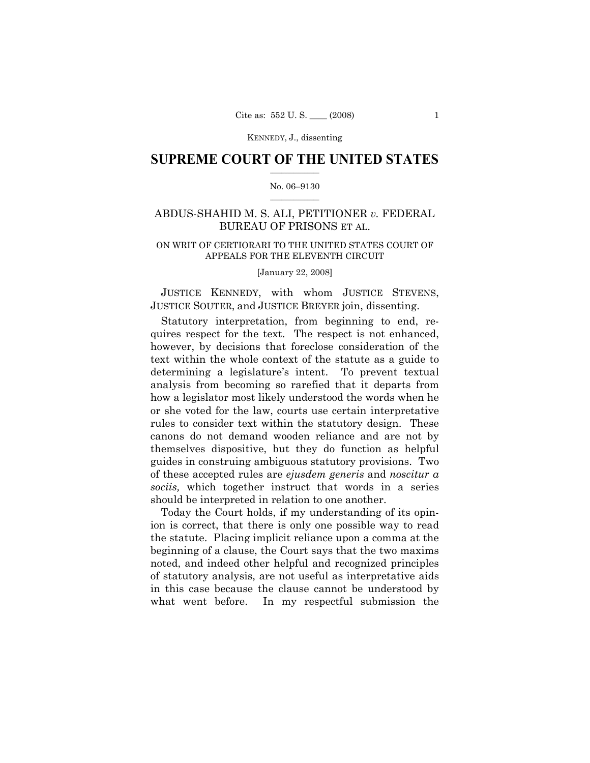### **SUPREME COURT OF THE UNITED STATES**  $\frac{1}{2}$  , where  $\frac{1}{2}$

### No. 06–9130  $\frac{1}{2}$  ,  $\frac{1}{2}$  ,  $\frac{1}{2}$  ,  $\frac{1}{2}$  ,  $\frac{1}{2}$  ,  $\frac{1}{2}$

# ABDUS-SHAHID M. S. ALI, PETITIONER *v.* FEDERAL BUREAU OF PRISONS ET AL.

# ON WRIT OF CERTIORARI TO THE UNITED STATES COURT OF APPEALS FOR THE ELEVENTH CIRCUIT

[January 22, 2008]

 JUSTICE KENNEDY, with whom JUSTICE STEVENS, JUSTICE SOUTER, and JUSTICE BREYER join, dissenting.

 Statutory interpretation, from beginning to end, requires respect for the text. The respect is not enhanced, however, by decisions that foreclose consideration of the text within the whole context of the statute as a guide to determining a legislature's intent. To prevent textual analysis from becoming so rarefied that it departs from how a legislator most likely understood the words when he or she voted for the law, courts use certain interpretative rules to consider text within the statutory design. These canons do not demand wooden reliance and are not by themselves dispositive, but they do function as helpful guides in construing ambiguous statutory provisions. Two of these accepted rules are *ejusdem generis* and *noscitur a sociis,* which together instruct that words in a series should be interpreted in relation to one another.

 Today the Court holds, if my understanding of its opinion is correct, that there is only one possible way to read the statute. Placing implicit reliance upon a comma at the beginning of a clause, the Court says that the two maxims noted, and indeed other helpful and recognized principles of statutory analysis, are not useful as interpretative aids in this case because the clause cannot be understood by what went before. In my respectful submission the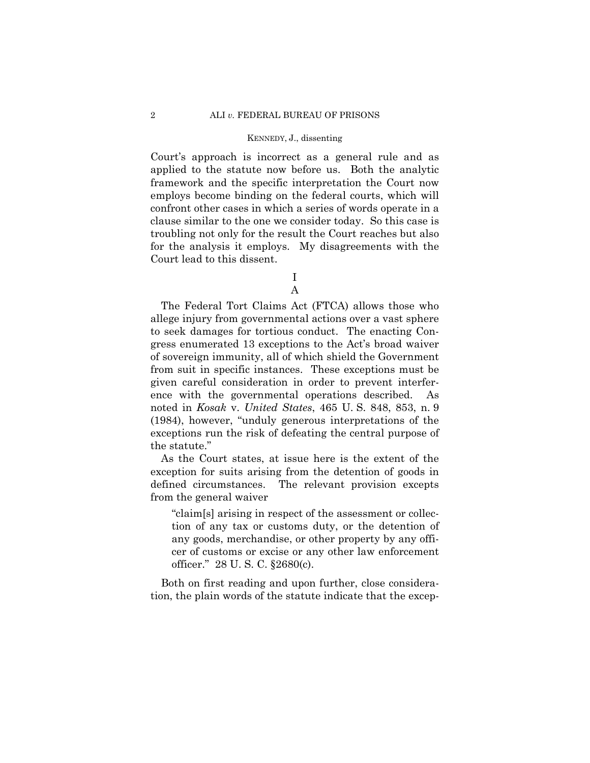Court's approach is incorrect as a general rule and as applied to the statute now before us. Both the analytic framework and the specific interpretation the Court now employs become binding on the federal courts, which will confront other cases in which a series of words operate in a clause similar to the one we consider today. So this case is troubling not only for the result the Court reaches but also for the analysis it employs. My disagreements with the Court lead to this dissent.

I

A

 The Federal Tort Claims Act (FTCA) allows those who allege injury from governmental actions over a vast sphere to seek damages for tortious conduct. The enacting Congress enumerated 13 exceptions to the Act's broad waiver of sovereign immunity, all of which shield the Government from suit in specific instances. These exceptions must be given careful consideration in order to prevent interference with the governmental operations described. As noted in *Kosak* v. *United States*, 465 U. S. 848, 853, n. 9 (1984), however, "unduly generous interpretations of the exceptions run the risk of defeating the central purpose of the statute."

 As the Court states, at issue here is the extent of the exception for suits arising from the detention of goods in defined circumstances. The relevant provision excepts from the general waiver

"claim[s] arising in respect of the assessment or collection of any tax or customs duty, or the detention of any goods, merchandise, or other property by any officer of customs or excise or any other law enforcement officer." 28 U. S. C. §2680(c).

 Both on first reading and upon further, close consideration, the plain words of the statute indicate that the excep-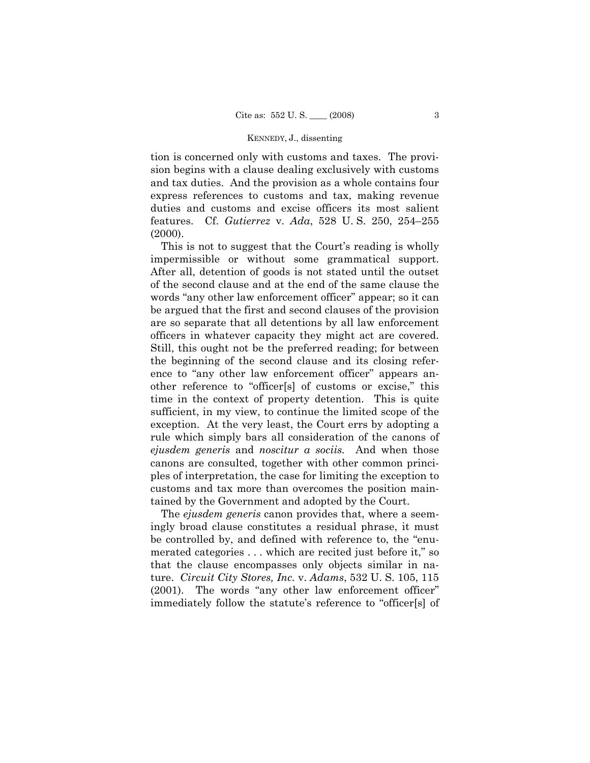tion is concerned only with customs and taxes. The provision begins with a clause dealing exclusively with customs and tax duties. And the provision as a whole contains four express references to customs and tax, making revenue duties and customs and excise officers its most salient features. Cf. *Gutierrez* v. *Ada*, 528 U. S. 250, 254–255 (2000).

 This is not to suggest that the Court's reading is wholly impermissible or without some grammatical support. After all, detention of goods is not stated until the outset of the second clause and at the end of the same clause the words "any other law enforcement officer" appear; so it can be argued that the first and second clauses of the provision are so separate that all detentions by all law enforcement officers in whatever capacity they might act are covered. Still, this ought not be the preferred reading; for between the beginning of the second clause and its closing reference to "any other law enforcement officer" appears another reference to "officer[s] of customs or excise," this time in the context of property detention. This is quite sufficient, in my view, to continue the limited scope of the exception. At the very least, the Court errs by adopting a rule which simply bars all consideration of the canons of *ejusdem generis* and *noscitur a sociis.* And when those canons are consulted, together with other common principles of interpretation, the case for limiting the exception to customs and tax more than overcomes the position maintained by the Government and adopted by the Court.

 The *ejusdem generis* canon provides that, where a seemingly broad clause constitutes a residual phrase, it must be controlled by, and defined with reference to, the "enumerated categories . . . which are recited just before it," so that the clause encompasses only objects similar in nature. *Circuit City Stores, Inc.* v. *Adams*, 532 U. S. 105, 115 (2001). The words "any other law enforcement officer" immediately follow the statute's reference to "officer[s] of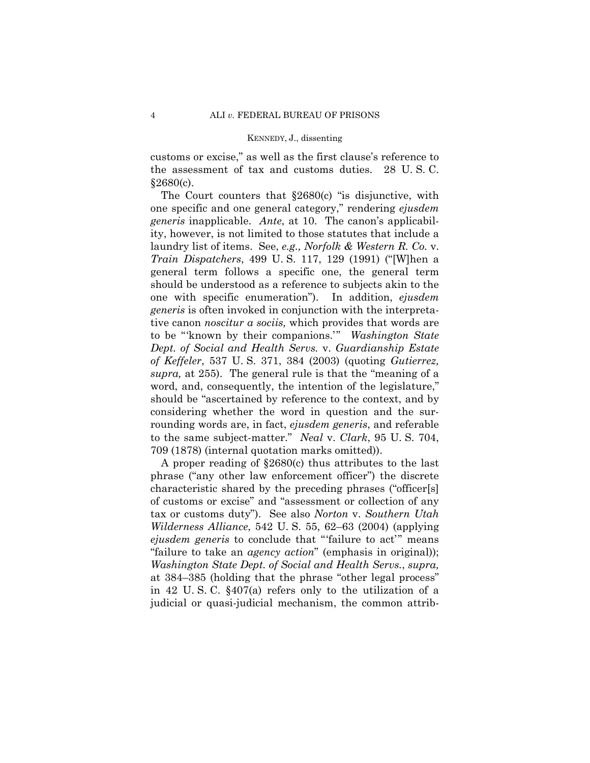customs or excise," as well as the first clause's reference to the assessment of tax and customs duties. 28 U. S. C. §2680(c).

 The Court counters that §2680(c) "is disjunctive, with one specific and one general category," rendering *ejusdem generis* inapplicable. *Ante*, at 10. The canon's applicability, however, is not limited to those statutes that include a laundry list of items. See, *e.g., Norfolk & Western R. Co.* v. *Train Dispatchers*, 499 U. S. 117, 129 (1991) ("[W]hen a general term follows a specific one, the general term should be understood as a reference to subjects akin to the one with specific enumeration"). In addition, *ejusdem generis* is often invoked in conjunction with the interpretative canon *noscitur a sociis,* which provides that words are to be "'known by their companions.'" *Washington State Dept. of Social and Health Servs.* v. *Guardianship Estate of Keffeler*, 537 U. S. 371, 384 (2003) (quoting *Gutierrez, supra,* at 255). The general rule is that the "meaning of a word, and, consequently, the intention of the legislature," should be "ascertained by reference to the context, and by considering whether the word in question and the surrounding words are, in fact, *ejusdem generis*, and referable to the same subject-matter." *Neal* v. *Clark*, 95 U. S. 704, 709 (1878) (internal quotation marks omitted)).

 A proper reading of §2680(c) thus attributes to the last phrase ("any other law enforcement officer") the discrete characteristic shared by the preceding phrases ("officer[s] of customs or excise" and "assessment or collection of any tax or customs duty"). See also *Norton* v. *Southern Utah Wilderness Alliance*, 542 U. S. 55, 62–63 (2004) (applying *ejusdem generis* to conclude that "'failure to act'" means "failure to take an *agency action*" (emphasis in original)); *Washington State Dept. of Social and Health Servs.*, *supra,*  at 384–385 (holding that the phrase "other legal process" in 42 U. S. C. §407(a) refers only to the utilization of a judicial or quasi-judicial mechanism, the common attrib-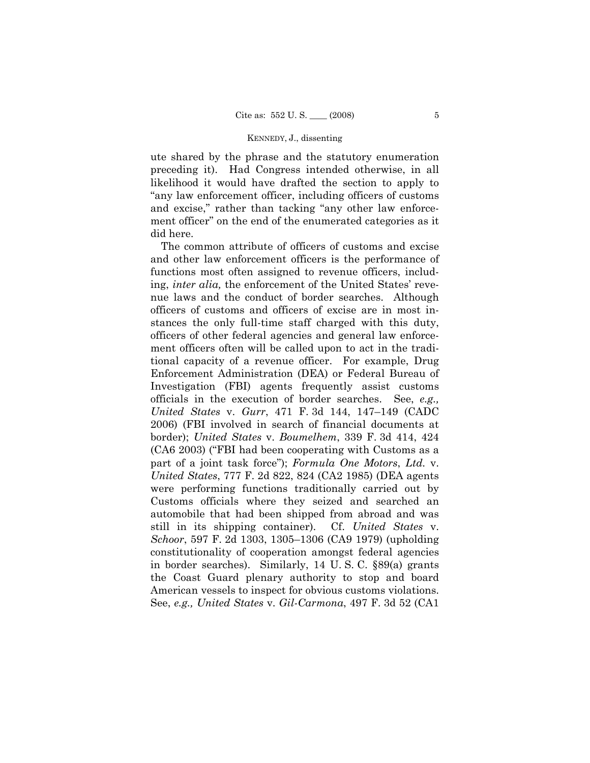ute shared by the phrase and the statutory enumeration preceding it). Had Congress intended otherwise, in all likelihood it would have drafted the section to apply to "any law enforcement officer, including officers of customs and excise," rather than tacking "any other law enforcement officer" on the end of the enumerated categories as it did here.

 The common attribute of officers of customs and excise and other law enforcement officers is the performance of functions most often assigned to revenue officers, including, *inter alia,* the enforcement of the United States' revenue laws and the conduct of border searches. Although officers of customs and officers of excise are in most instances the only full-time staff charged with this duty, officers of other federal agencies and general law enforcement officers often will be called upon to act in the traditional capacity of a revenue officer. For example, Drug Enforcement Administration (DEA) or Federal Bureau of Investigation (FBI) agents frequently assist customs officials in the execution of border searches. See, *e.g., United States* v. *Gurr*, 471 F. 3d 144, 147–149 (CADC 2006) (FBI involved in search of financial documents at border); *United States* v. *Boumelhem*, 339 F. 3d 414, 424 (CA6 2003) ("FBI had been cooperating with Customs as a part of a joint task force"); *Formula One Motors*, *Ltd.* v. *United States*, 777 F. 2d 822, 824 (CA2 1985) (DEA agents were performing functions traditionally carried out by Customs officials where they seized and searched an automobile that had been shipped from abroad and was still in its shipping container). Cf. *United States* v. *Schoor*, 597 F. 2d 1303, 1305–1306 (CA9 1979) (upholding constitutionality of cooperation amongst federal agencies in border searches). Similarly, 14 U. S. C. §89(a) grants the Coast Guard plenary authority to stop and board American vessels to inspect for obvious customs violations. See, *e.g., United States* v. *Gil-Carmona*, 497 F. 3d 52 (CA1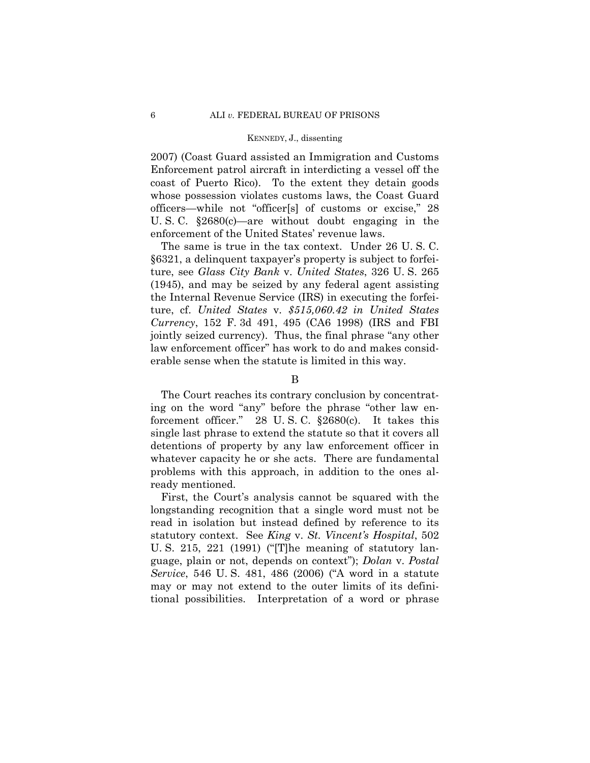2007) (Coast Guard assisted an Immigration and Customs Enforcement patrol aircraft in interdicting a vessel off the coast of Puerto Rico). To the extent they detain goods whose possession violates customs laws, the Coast Guard officers—while not "officer[s] of customs or excise," 28 U. S. C. §2680(c)—are without doubt engaging in the enforcement of the United States' revenue laws.

 The same is true in the tax context. Under 26 U. S. C. §6321, a delinquent taxpayer's property is subject to forfeiture, see *Glass City Bank* v. *United States*, 326 U. S. 265 (1945), and may be seized by any federal agent assisting the Internal Revenue Service (IRS) in executing the forfeiture, cf. *United States* v. *\$515,060.42 in United States Currency*, 152 F. 3d 491, 495 (CA6 1998) (IRS and FBI jointly seized currency). Thus, the final phrase "any other law enforcement officer" has work to do and makes considerable sense when the statute is limited in this way.

B

 The Court reaches its contrary conclusion by concentrating on the word "any" before the phrase "other law enforcement officer." 28 U. S. C. §2680(c). It takes this single last phrase to extend the statute so that it covers all detentions of property by any law enforcement officer in whatever capacity he or she acts. There are fundamental problems with this approach, in addition to the ones already mentioned.

 First, the Court's analysis cannot be squared with the longstanding recognition that a single word must not be read in isolation but instead defined by reference to its statutory context. See *King* v. *St. Vincent's Hospital*, 502 U. S. 215, 221 (1991) ("[T]he meaning of statutory language, plain or not, depends on context"); *Dolan* v. *Postal Service*, 546 U. S. 481, 486 (2006) ("A word in a statute may or may not extend to the outer limits of its definitional possibilities. Interpretation of a word or phrase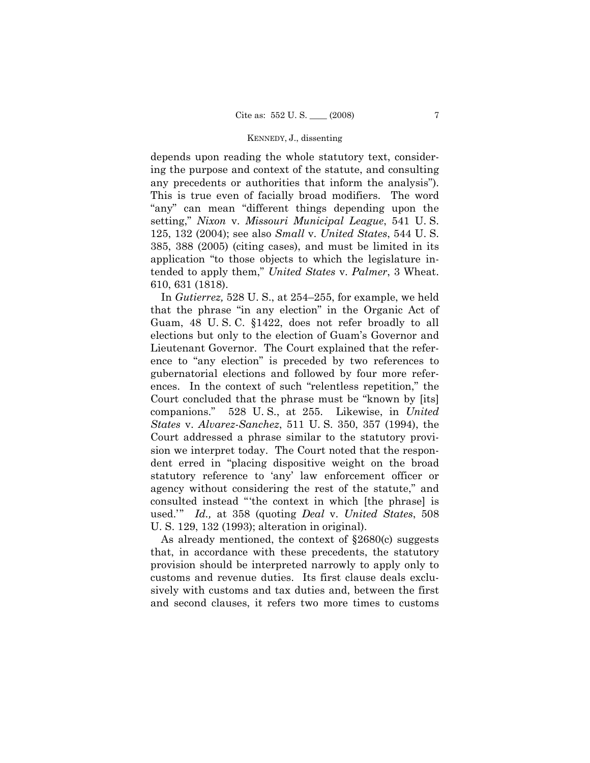depends upon reading the whole statutory text, considering the purpose and context of the statute, and consulting any precedents or authorities that inform the analysis"). This is true even of facially broad modifiers. The word "any" can mean "different things depending upon the setting," *Nixon* v. *Missouri Municipal League*, 541 U. S. 125, 132 (2004); see also *Small* v. *United States*, 544 U. S. 385, 388 (2005) (citing cases), and must be limited in its application "to those objects to which the legislature intended to apply them," *United States* v. *Palmer*, 3 Wheat. 610, 631 (1818).

 In *Gutierrez,* 528 U. S., at 254–255, for example, we held that the phrase "in any election" in the Organic Act of Guam, 48 U. S. C. §1422, does not refer broadly to all elections but only to the election of Guam's Governor and Lieutenant Governor. The Court explained that the reference to "any election" is preceded by two references to gubernatorial elections and followed by four more references. In the context of such "relentless repetition," the Court concluded that the phrase must be "known by [its] companions." 528 U. S., at 255. Likewise, in *United States* v. *Alvarez-Sanchez*, 511 U. S. 350, 357 (1994), the Court addressed a phrase similar to the statutory provision we interpret today. The Court noted that the respondent erred in "placing dispositive weight on the broad statutory reference to 'any' law enforcement officer or agency without considering the rest of the statute," and consulted instead "'the context in which [the phrase] is used.'" *Id.,* at 358 (quoting *Deal* v. *United States*, 508 U. S. 129, 132 (1993); alteration in original).

 As already mentioned, the context of §2680(c) suggests that, in accordance with these precedents, the statutory provision should be interpreted narrowly to apply only to customs and revenue duties. Its first clause deals exclusively with customs and tax duties and, between the first and second clauses, it refers two more times to customs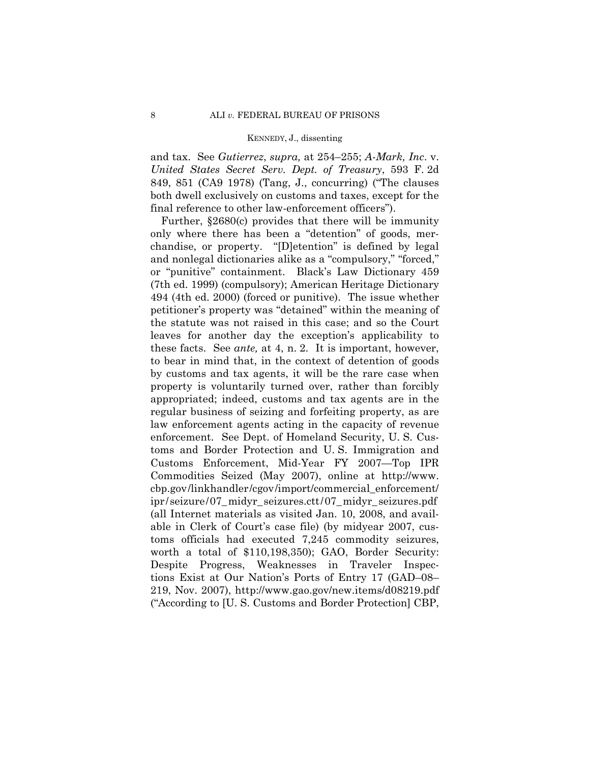and tax. See *Gutierrez*, *supra,* at 254–255; *A-Mark, Inc*. v. *United States Secret Serv. Dept. of Treasury*, 593 F. 2d 849, 851 (CA9 1978) (Tang, J., concurring) ("The clauses both dwell exclusively on customs and taxes, except for the final reference to other law-enforcement officers").

 Further, §2680(c) provides that there will be immunity only where there has been a "detention" of goods, merchandise, or property. "[D]etention" is defined by legal and nonlegal dictionaries alike as a "compulsory," "forced," or "punitive" containment. Black's Law Dictionary 459 (7th ed. 1999) (compulsory); American Heritage Dictionary 494 (4th ed. 2000) (forced or punitive). The issue whether petitioner's property was "detained" within the meaning of the statute was not raised in this case; and so the Court leaves for another day the exception's applicability to these facts. See *ante,* at 4, n. 2. It is important, however, to bear in mind that, in the context of detention of goods by customs and tax agents, it will be the rare case when property is voluntarily turned over, rather than forcibly appropriated; indeed, customs and tax agents are in the regular business of seizing and forfeiting property, as are law enforcement agents acting in the capacity of revenue enforcement. See Dept. of Homeland Security, U. S. Customs and Border Protection and U. S. Immigration and Customs Enforcement, Mid-Year FY 2007—Top IPR Commodities Seized (May 2007), online at http://www. cbp.gov/linkhandler/cgov/import/commercial\_enforcement/ ipr/seizure/07\_midyr\_seizures.ctt/07\_midyr\_seizures.pdf (all Internet materials as visited Jan. 10, 2008, and available in Clerk of Court's case file) (by midyear 2007, customs officials had executed 7,245 commodity seizures, worth a total of \$110,198,350); GAO, Border Security: Despite Progress, Weaknesses in Traveler Inspections Exist at Our Nation's Ports of Entry 17 (GAD–08– 219, Nov. 2007), http://www.gao.gov/new.items/d08219.pdf ("According to [U. S. Customs and Border Protection] CBP,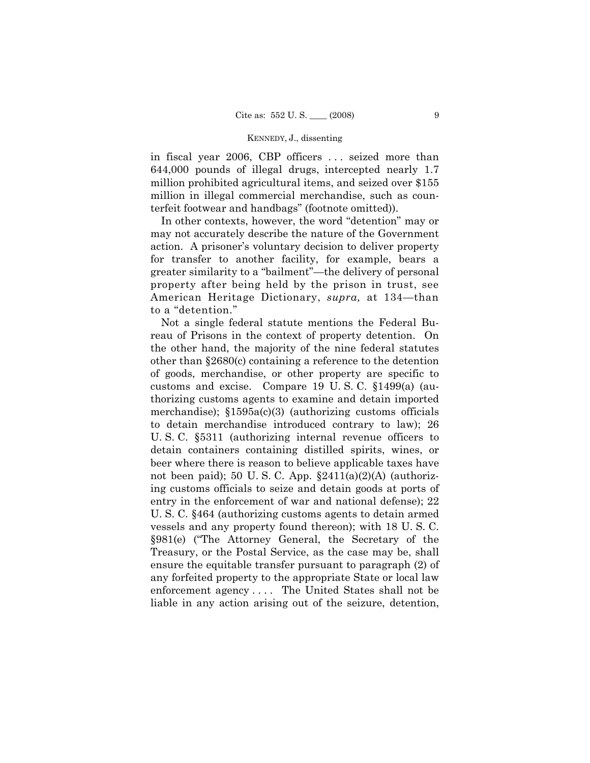in fiscal year 2006, CBP officers . . . seized more than 644,000 pounds of illegal drugs, intercepted nearly 1.7 million prohibited agricultural items, and seized over \$155 million in illegal commercial merchandise, such as counterfeit footwear and handbags" (footnote omitted)).

 In other contexts, however, the word "detention" may or may not accurately describe the nature of the Government action. A prisoner's voluntary decision to deliver property for transfer to another facility, for example, bears a greater similarity to a "bailment"—the delivery of personal property after being held by the prison in trust, see American Heritage Dictionary, *supra,* at 134—than to a "detention."

 Not a single federal statute mentions the Federal Bureau of Prisons in the context of property detention. On the other hand, the majority of the nine federal statutes other than §2680(c) containing a reference to the detention of goods, merchandise, or other property are specific to customs and excise. Compare 19 U. S. C. §1499(a) (authorizing customs agents to examine and detain imported merchandise);  $$1595a(c)(3)$  (authorizing customs officials to detain merchandise introduced contrary to law); 26 U. S. C. §5311 (authorizing internal revenue officers to detain containers containing distilled spirits, wines, or beer where there is reason to believe applicable taxes have not been paid); 50 U.S.C. App.  $\S2411(a)(2)(A)$  (authorizing customs officials to seize and detain goods at ports of entry in the enforcement of war and national defense); 22 U. S. C. §464 (authorizing customs agents to detain armed vessels and any property found thereon); with 18 U. S. C. §981(e) ("The Attorney General, the Secretary of the Treasury, or the Postal Service, as the case may be, shall ensure the equitable transfer pursuant to paragraph (2) of any forfeited property to the appropriate State or local law enforcement agency .... The United States shall not be liable in any action arising out of the seizure, detention,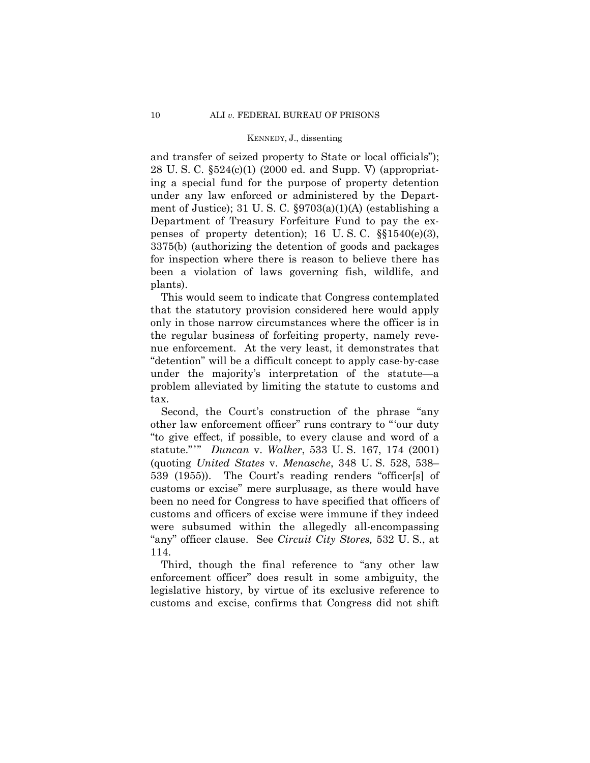and transfer of seized property to State or local officials"); 28 U. S. C. §524(c)(1) (2000 ed. and Supp. V) (appropriating a special fund for the purpose of property detention under any law enforced or administered by the Department of Justice); 31 U. S. C. §9703(a)(1)(A) (establishing a Department of Treasury Forfeiture Fund to pay the expenses of property detention); 16 U.S.C.  $\S$  $1540(e)(3)$ , 3375(b) (authorizing the detention of goods and packages for inspection where there is reason to believe there has been a violation of laws governing fish, wildlife, and plants).

 This would seem to indicate that Congress contemplated that the statutory provision considered here would apply only in those narrow circumstances where the officer is in the regular business of forfeiting property, namely revenue enforcement. At the very least, it demonstrates that "detention" will be a difficult concept to apply case-by-case under the majority's interpretation of the statute—a problem alleviated by limiting the statute to customs and tax.

 Second, the Court's construction of the phrase "any other law enforcement officer" runs contrary to "'our duty "to give effect, if possible, to every clause and word of a statute."'" *Duncan* v. *Walker*, 533 U. S. 167, 174 (2001) (quoting *United States* v. *Menasche*, 348 U. S. 528, 538– 539 (1955)). The Court's reading renders "officer[s] of customs or excise" mere surplusage, as there would have been no need for Congress to have specified that officers of customs and officers of excise were immune if they indeed were subsumed within the allegedly all-encompassing "any" officer clause. See *Circuit City Stores,* 532 U. S., at 114.

 Third, though the final reference to "any other law enforcement officer" does result in some ambiguity, the legislative history, by virtue of its exclusive reference to customs and excise, confirms that Congress did not shift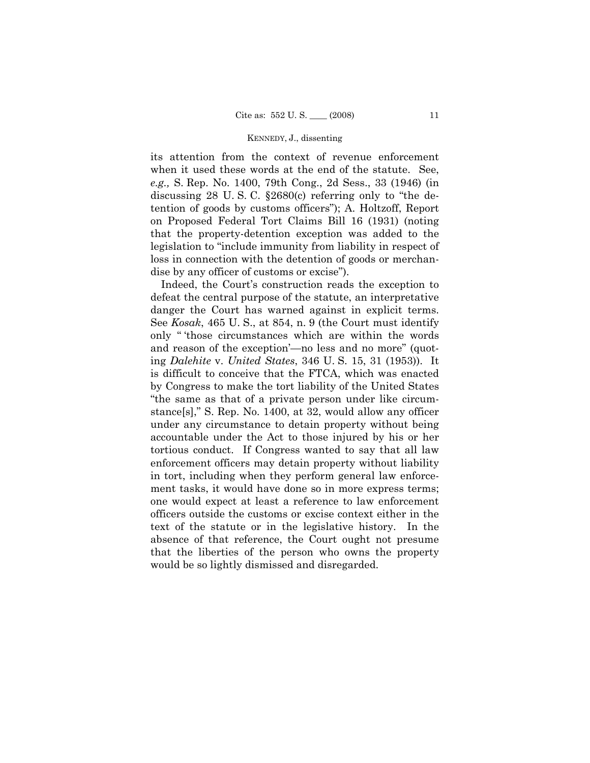its attention from the context of revenue enforcement when it used these words at the end of the statute. See, *e.g.,* S. Rep. No. 1400, 79th Cong., 2d Sess., 33 (1946) (in discussing 28 U. S. C. §2680(c) referring only to "the detention of goods by customs officers"); A. Holtzoff, Report on Proposed Federal Tort Claims Bill 16 (1931) (noting that the property-detention exception was added to the legislation to "include immunity from liability in respect of loss in connection with the detention of goods or merchandise by any officer of customs or excise").

 Indeed, the Court's construction reads the exception to defeat the central purpose of the statute, an interpretative danger the Court has warned against in explicit terms. See *Kosak*, 465 U. S., at 854, n. 9 (the Court must identify only " 'those circumstances which are within the words and reason of the exception'—no less and no more" (quoting *Dalehite* v. *United States*, 346 U. S. 15, 31 (1953)). It is difficult to conceive that the FTCA, which was enacted by Congress to make the tort liability of the United States "the same as that of a private person under like circumstance[s]," S. Rep. No. 1400, at 32, would allow any officer under any circumstance to detain property without being accountable under the Act to those injured by his or her tortious conduct. If Congress wanted to say that all law enforcement officers may detain property without liability in tort, including when they perform general law enforcement tasks, it would have done so in more express terms; one would expect at least a reference to law enforcement officers outside the customs or excise context either in the text of the statute or in the legislative history. In the absence of that reference, the Court ought not presume that the liberties of the person who owns the property would be so lightly dismissed and disregarded.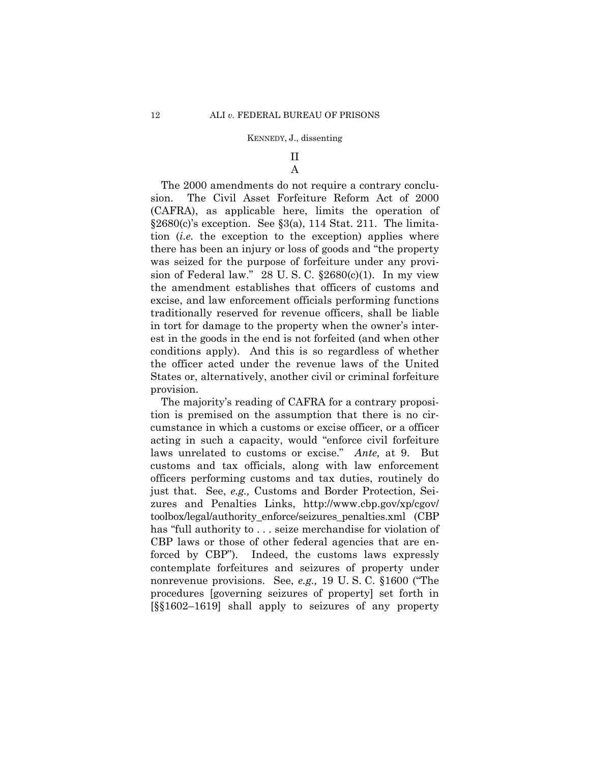### II A

 The 2000 amendments do not require a contrary conclusion. The Civil Asset Forfeiture Reform Act of 2000 (CAFRA), as applicable here, limits the operation of  $§2680(c)$ 's exception. See  $§3(a)$ , 114 Stat. 211. The limitation (*i.e.* the exception to the exception) applies where there has been an injury or loss of goods and "the property was seized for the purpose of forfeiture under any provision of Federal law." 28 U.S.C.  $$2680(c)(1)$ . In my view the amendment establishes that officers of customs and excise, and law enforcement officials performing functions traditionally reserved for revenue officers, shall be liable in tort for damage to the property when the owner's interest in the goods in the end is not forfeited (and when other conditions apply). And this is so regardless of whether the officer acted under the revenue laws of the United States or, alternatively, another civil or criminal forfeiture provision.

 The majority's reading of CAFRA for a contrary proposition is premised on the assumption that there is no circumstance in which a customs or excise officer, or a officer acting in such a capacity, would "enforce civil forfeiture laws unrelated to customs or excise." *Ante,* at 9. But customs and tax officials, along with law enforcement officers performing customs and tax duties, routinely do just that. See, *e.g.,* Customs and Border Protection, Seizures and Penalties Links, http://www.cbp.gov/xp/cgov/ toolbox/legal/authority\_enforce/seizures\_penalties.xml (CBP has "full authority to . . . seize merchandise for violation of CBP laws or those of other federal agencies that are enforced by CBP"). Indeed, the customs laws expressly contemplate forfeitures and seizures of property under nonrevenue provisions. See, *e.g.,* 19 U. S. C. §1600 ("The procedures [governing seizures of property] set forth in [§§1602–1619] shall apply to seizures of any property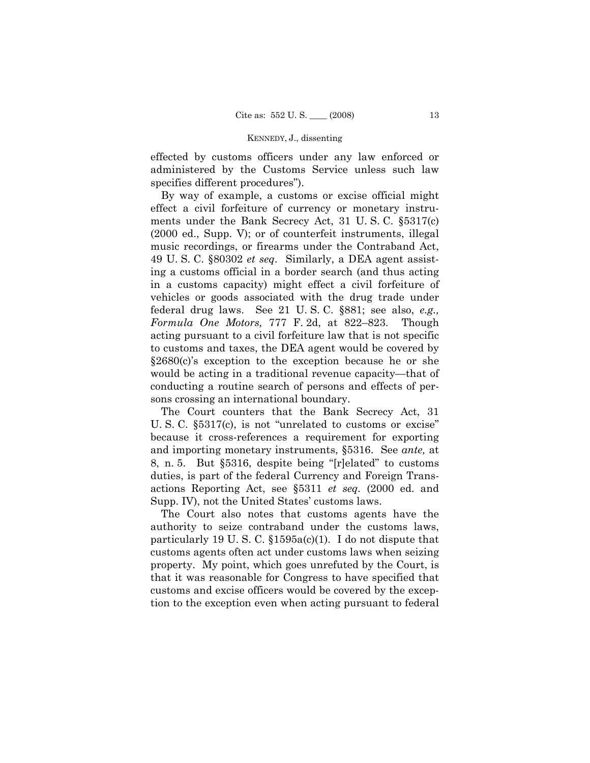effected by customs officers under any law enforced or administered by the Customs Service unless such law specifies different procedures").

 By way of example, a customs or excise official might effect a civil forfeiture of currency or monetary instruments under the Bank Secrecy Act, 31 U. S. C. §5317(c) (2000 ed., Supp. V); or of counterfeit instruments, illegal music recordings, or firearms under the Contraband Act, 49 U. S. C. §80302 *et seq*. Similarly, a DEA agent assisting a customs official in a border search (and thus acting in a customs capacity) might effect a civil forfeiture of vehicles or goods associated with the drug trade under federal drug laws. See 21 U. S. C. §881; see also, *e.g., Formula One Motors,* 777 F. 2d, at 822–823. Though acting pursuant to a civil forfeiture law that is not specific to customs and taxes, the DEA agent would be covered by §2680(c)'s exception to the exception because he or she would be acting in a traditional revenue capacity—that of conducting a routine search of persons and effects of persons crossing an international boundary.

 The Court counters that the Bank Secrecy Act, 31 U. S. C. §5317(c), is not "unrelated to customs or excise" because it cross-references a requirement for exporting and importing monetary instruments, §5316. See *ante,* at 8, n. 5. But §5316, despite being "[r]elated" to customs duties, is part of the federal Currency and Foreign Transactions Reporting Act, see §5311 *et seq.* (2000 ed. and Supp. IV), not the United States' customs laws.

 The Court also notes that customs agents have the authority to seize contraband under the customs laws, particularly 19 U. S. C. §1595a(c)(1). I do not dispute that customs agents often act under customs laws when seizing property. My point, which goes unrefuted by the Court, is that it was reasonable for Congress to have specified that customs and excise officers would be covered by the exception to the exception even when acting pursuant to federal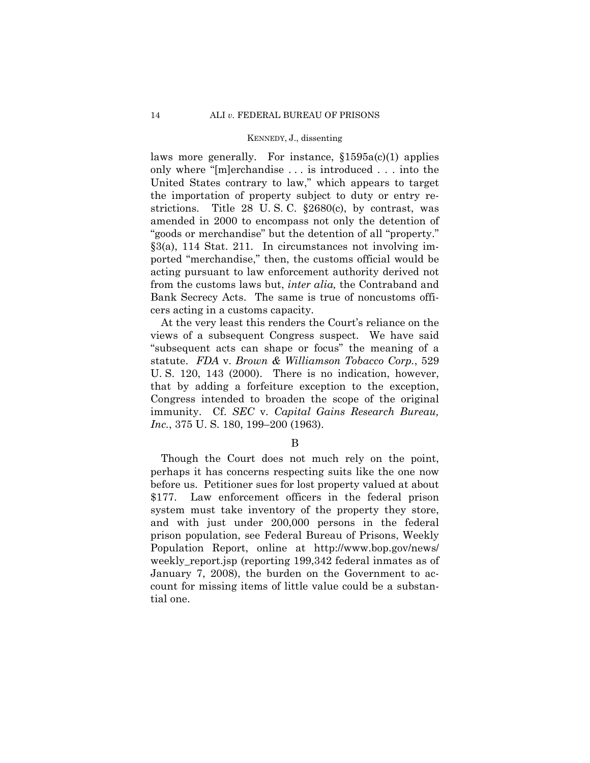laws more generally. For instance, §1595a(c)(1) applies only where "[m]erchandise . . . is introduced . . . into the United States contrary to law," which appears to target the importation of property subject to duty or entry restrictions. Title 28 U. S. C. §2680(c), by contrast, was amended in 2000 to encompass not only the detention of "goods or merchandise" but the detention of all "property." §3(a), 114 Stat. 211. In circumstances not involving imported "merchandise," then, the customs official would be acting pursuant to law enforcement authority derived not from the customs laws but, *inter alia,* the Contraband and Bank Secrecy Acts. The same is true of noncustoms officers acting in a customs capacity.

 At the very least this renders the Court's reliance on the views of a subsequent Congress suspect. We have said "subsequent acts can shape or focus" the meaning of a statute. *FDA* v. *Brown & Williamson Tobacco Corp.*, 529 U. S. 120, 143 (2000). There is no indication, however, that by adding a forfeiture exception to the exception, Congress intended to broaden the scope of the original immunity. Cf. *SEC* v. *Capital Gains Research Bureau, Inc.*, 375 U.S. 180, 199–200 (1963).

B

 Though the Court does not much rely on the point, perhaps it has concerns respecting suits like the one now before us. Petitioner sues for lost property valued at about \$177. Law enforcement officers in the federal prison system must take inventory of the property they store, and with just under 200,000 persons in the federal prison population, see Federal Bureau of Prisons, Weekly Population Report, online at http://www.bop.gov/news/ weekly\_report.jsp (reporting 199,342 federal inmates as of January 7, 2008), the burden on the Government to account for missing items of little value could be a substantial one.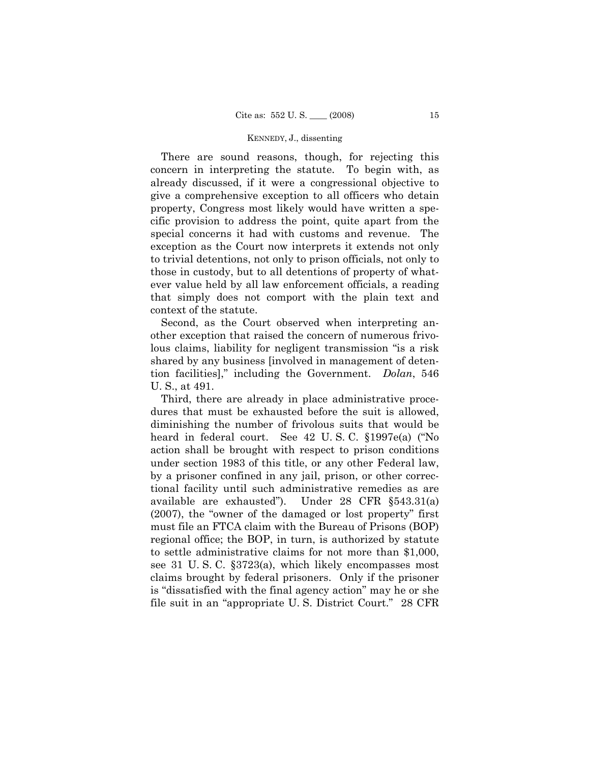There are sound reasons, though, for rejecting this concern in interpreting the statute. To begin with, as already discussed, if it were a congressional objective to give a comprehensive exception to all officers who detain property, Congress most likely would have written a specific provision to address the point, quite apart from the special concerns it had with customs and revenue. The exception as the Court now interprets it extends not only to trivial detentions, not only to prison officials, not only to those in custody, but to all detentions of property of whatever value held by all law enforcement officials, a reading that simply does not comport with the plain text and context of the statute.

 Second, as the Court observed when interpreting another exception that raised the concern of numerous frivolous claims, liability for negligent transmission "is a risk shared by any business [involved in management of detention facilities]," including the Government. *Dolan*, 546 U. S., at 491.

 Third, there are already in place administrative procedures that must be exhausted before the suit is allowed, diminishing the number of frivolous suits that would be heard in federal court. See 42 U. S. C. §1997e(a) ("No action shall be brought with respect to prison conditions under section 1983 of this title, or any other Federal law, by a prisoner confined in any jail, prison, or other correctional facility until such administrative remedies as are available are exhausted"). Under 28 CFR §543.31(a) (2007), the "owner of the damaged or lost property" first must file an FTCA claim with the Bureau of Prisons (BOP) regional office; the BOP, in turn, is authorized by statute to settle administrative claims for not more than \$1,000, see 31 U. S. C. §3723(a), which likely encompasses most claims brought by federal prisoners. Only if the prisoner is "dissatisfied with the final agency action" may he or she file suit in an "appropriate U. S. District Court." 28 CFR